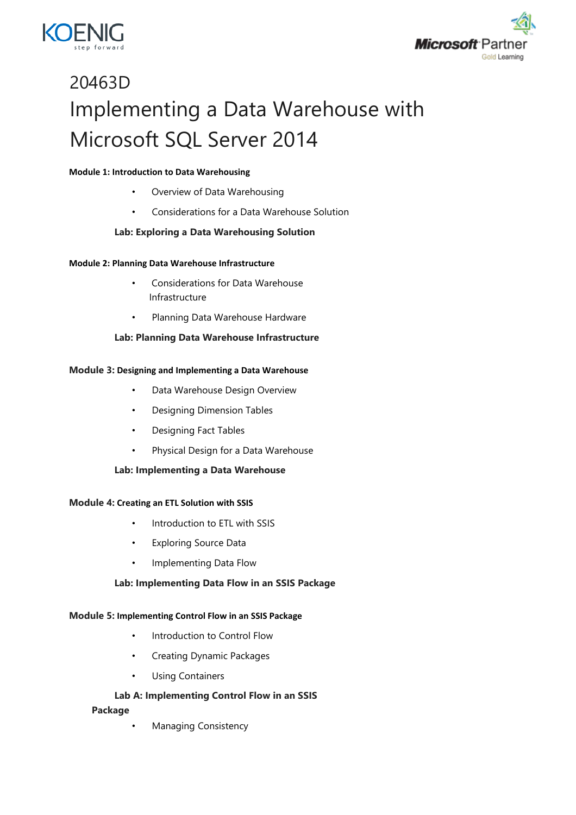



# 20463D Implementing a Data Warehouse with Microsoft SQL Server 2014

#### **Module 1: Introduction to Data Warehousing**

- Overview of Data Warehousing
- Considerations for a Data Warehouse Solution

## **Lab: Exploring a Data Warehousing Solution**

#### **Module 2: Planning Data Warehouse Infrastructure**

- Considerations for Data Warehouse Infrastructure
- Planning Data Warehouse Hardware

#### **Lab: Planning Data Warehouse Infrastructure**

#### **Module 3: Designing and Implementing a Data Warehouse**

- Data Warehouse Design Overview
- Designing Dimension Tables
- Designing Fact Tables
- Physical Design for a Data Warehouse

#### **Lab: Implementing a Data Warehouse**

#### **Module 4: Creating an ETL Solution with SSIS**

- Introduction to ETL with SSIS
- Exploring Source Data
- Implementing Data Flow

#### **Lab: Implementing Data Flow in an SSIS Package**

#### **Module 5: Implementing Control Flow in an SSIS Package**

- Introduction to Control Flow
- Creating Dynamic Packages
- Using Containers

## **Lab A: Implementing Control Flow in an SSIS**

#### **Package**

• Managing Consistency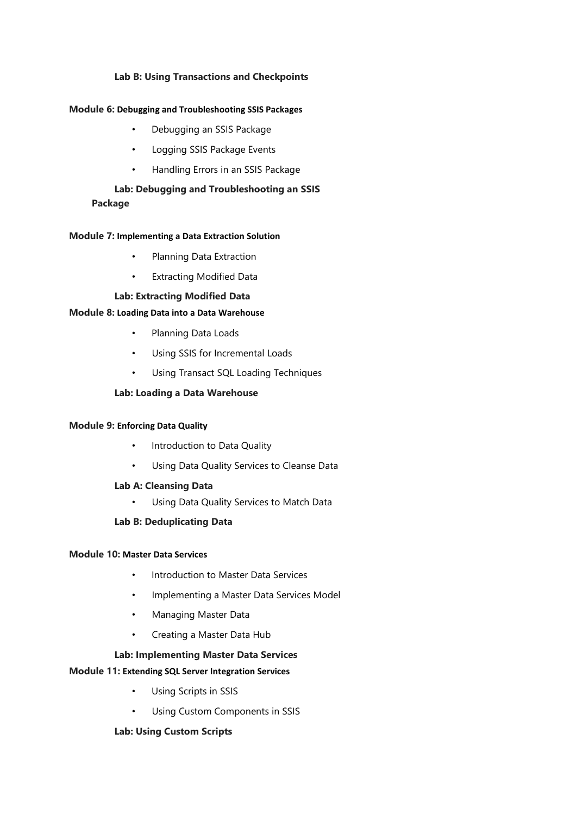## **Lab B: Using Transactions and Checkpoints**

#### **Module 6: Debugging and Troubleshooting SSIS Packages**

- Debugging an SSIS Package
- Logging SSIS Package Events
- Handling Errors in an SSIS Package

## **Lab: Debugging and Troubleshooting an SSIS Package**

#### **Module 7: Implementing a Data Extraction Solution**

- Planning Data Extraction
- **Extracting Modified Data**

#### **Lab: Extracting Modified Data**

#### **Module 8: Loading Data into a Data Warehouse**

- Planning Data Loads
- Using SSIS for Incremental Loads
- Using Transact SQL Loading Techniques

## **Lab: Loading a Data Warehouse**

#### **Module 9: Enforcing Data Quality**

- Introduction to Data Quality
- Using Data Quality Services to Cleanse Data

#### **Lab A: Cleansing Data**

• Using Data Quality Services to Match Data

#### **Lab B: Deduplicating Data**

#### **Module 10: Master Data Services**

- Introduction to Master Data Services
- Implementing a Master Data Services Model
- Managing Master Data
- Creating a Master Data Hub

#### **Lab: Implementing Master Data Services**

#### **Module 11: Extending SQL Server Integration Services**

- Using Scripts in SSIS
- Using Custom Components in SSIS

#### **Lab: Using Custom Scripts**